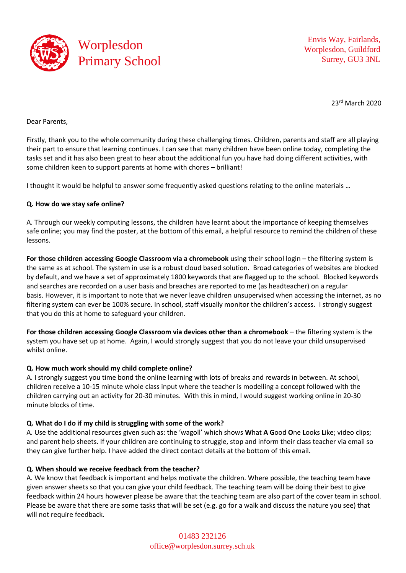

Envis Way, Fairlands, Worplesdon, Guildford Surrey, GU3 3NL

23rd March 2020

Dear Parents,

Firstly, thank you to the whole community during these challenging times. Children, parents and staff are all playing their part to ensure that learning continues. I can see that many children have been online today, completing the tasks set and it has also been great to hear about the additional fun you have had doing different activities, with some children keen to support parents at home with chores – brilliant!

I thought it would be helpful to answer some frequently asked questions relating to the online materials …

## **Q. How do we stay safe online?**

A. Through our weekly computing lessons, the children have learnt about the importance of keeping themselves safe online; you may find the poster, at the bottom of this email, a helpful resource to remind the children of these lessons.

**For those children accessing Google Classroom via a chromebook** using their school login – the filtering system is the same as at school. The system in use is a robust cloud based solution. Broad categories of websites are blocked by default, and we have a set of approximately 1800 keywords that are flagged up to the school. Blocked keywords and searches are recorded on a user basis and breaches are reported to me (as headteacher) on a regular basis. However, it is important to note that we never leave children unsupervised when accessing the internet, as no filtering system can ever be 100% secure. In school, staff visually monitor the children's access. I strongly suggest that you do this at home to safeguard your children.

**For those children accessing Google Classroom via devices other than a chromebook** – the filtering system is the system you have set up at home. Again, I would strongly suggest that you do not leave your child unsupervised whilst online.

### **Q. How much work should my child complete online?**

A. I strongly suggest you time bond the online learning with lots of breaks and rewards in between. At school, children receive a 10-15 minute whole class input where the teacher is modelling a concept followed with the children carrying out an activity for 20-30 minutes. With this in mind, I would suggest working online in 20-30 minute blocks of time.

# **Q. What do I do if my child is struggling with some of the work?**

A. Use the additional resources given such as: the 'wagoll' which shows **W**hat **A G**ood **O**ne **L**ooks **L**ike; video clips; and parent help sheets. If your children are continuing to struggle, stop and inform their class teacher via email so they can give further help. I have added the direct contact details at the bottom of this email.

# **Q. When should we receive feedback from the teacher?**

A. We know that feedback is important and helps motivate the children. Where possible, the teaching team have given answer sheets so that you can give your child feedback. The teaching team will be doing their best to give feedback within 24 hours however please be aware that the teaching team are also part of the cover team in school. Please be aware that there are some tasks that will be set (e.g. go for a walk and discuss the nature you see) that will not require feedback.

> 01483 232126 [office@worplesdon.surrey.sch.uk](mailto:office@worplesdon.surrey.sch.uk)